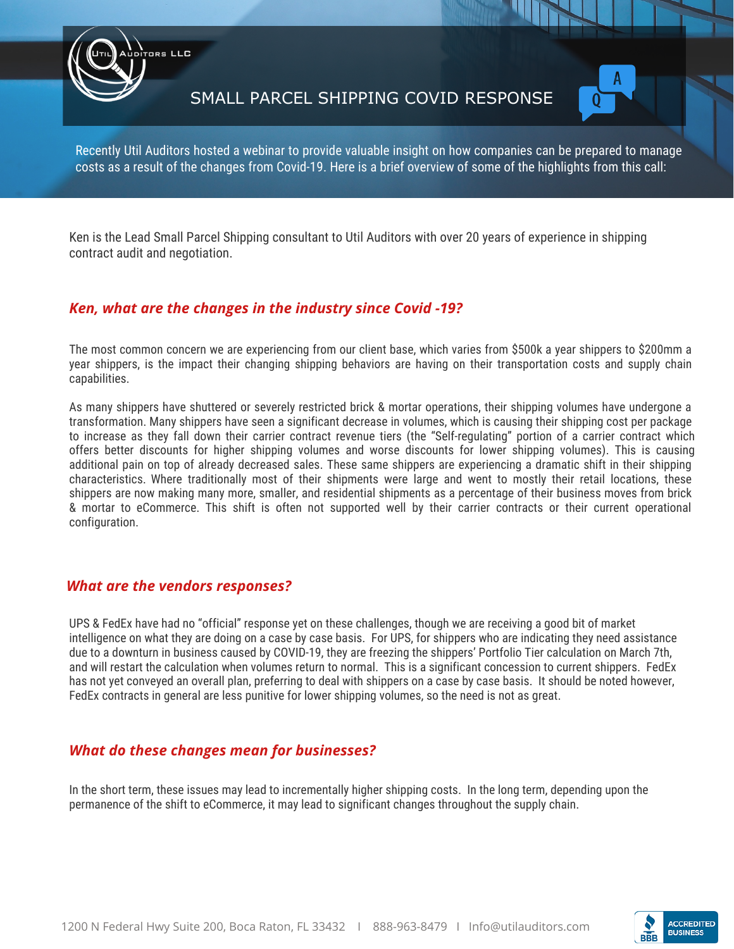SMALL PARCEL SHIPPING COVID RESPONSE



Recently Util Auditors hosted a webinar to provide valuable insight on how companies can be prepared to manage costs as a result of the changes from Covid-19. Here is a brief overview of some of the highlights from this call:

Ken is the Lead Small Parcel Shipping consultant to Util Auditors with over 20 years of experience in shipping contract audit and negotiation.

## *Ken, what are the changes in the industry since Covid -19?*

The most common concern we are experiencing from our client base, which varies from \$500k a year shippers to \$200mm a year shippers, is the impact their changing shipping behaviors are having on their transportation costs and supply chain capabilities.

As many shippers have shuttered or severely restricted brick & mortar operations, their shipping volumes have undergone a transformation. Many shippers have seen a significant decrease in volumes, which is causing their shipping cost per package to increase as they fall down their carrier contract revenue tiers (the "Self-regulating" portion of a carrier contract which offers better discounts for higher shipping volumes and worse discounts for lower shipping volumes). This is causing additional pain on top of already decreased sales. These same shippers are experiencing a dramatic shift in their shipping characteristics. Where traditionally most of their shipments were large and went to mostly their retail locations, these shippers are now making many more, smaller, and residential shipments as a percentage of their business moves from brick & mortar to eCommerce. This shift is often not supported well by their carrier contracts or their current operational configuration.

## *What are the vendors responses?*

ors LLC

UPS & FedEx have had no "official" response yet on these challenges, though we are receiving a good bit of market intelligence on what they are doing on a case by case basis. For UPS, for shippers who are indicating they need assistance due to a downturn in business caused by COVID-19, they are freezing the shippers' Portfolio Tier calculation on March 7th, and will restart the calculation when volumes return to normal. This is a significant concession to current shippers. FedEx has not yet conveyed an overall plan, preferring to deal with shippers on a case by case basis. It should be noted however, FedEx contracts in general are less punitive for lower shipping volumes, so the need is not as great.

## *What do these changes mean for businesses?*

In the short term, these issues may lead to incrementally higher shipping costs. In the long term, depending upon the permanence of the shift to eCommerce, it may lead to significant changes throughout the supply chain.